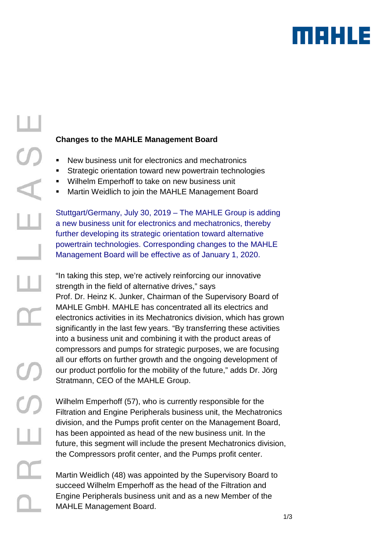# MAHLE

### **Changes to the MAHLE Management Board**

- New business unit for electronics and mechatronics
- **Strategic orientation toward new powertrain technologies**
- Wilhelm Emperhoff to take on new business unit
- Martin Weidlich to join the MAHLE Management Board

Stuttgart/Germany, July 30, 2019 – The MAHLE Group is adding a new business unit for electronics and mechatronics, thereby further developing its strategic orientation toward alternative powertrain technologies. Corresponding changes to the MAHLE Management Board will be effective as of January 1, 2020.

"In taking this step, we're actively reinforcing our innovative strength in the field of alternative drives," says Prof. Dr. Heinz K. Junker, Chairman of the Supervisory Board of MAHLE GmbH. MAHLE has concentrated all its electrics and electronics activities in its Mechatronics division, which has grown significantly in the last few years. "By transferring these activities into a business unit and combining it with the product areas of compressors and pumps for strategic purposes, we are focusing all our efforts on further growth and the ongoing development of our product portfolio for the mobility of the future," adds Dr. Jörg Stratmann, CEO of the MAHLE Group.

Wilhelm Emperhoff (57), who is currently responsible for the Filtration and Engine Peripherals business unit, the Mechatronics division, and the Pumps profit center on the Management Board, has been appointed as head of the new business unit. In the future, this segment will include the present Mechatronics division, the Compressors profit center, and the Pumps profit center.

Martin Weidlich (48) was appointed by the Supervisory Board to succeed Wilhelm Emperhoff as the head of the Filtration and Engine Peripherals business unit and as a new Member of the MAHLE Management Board.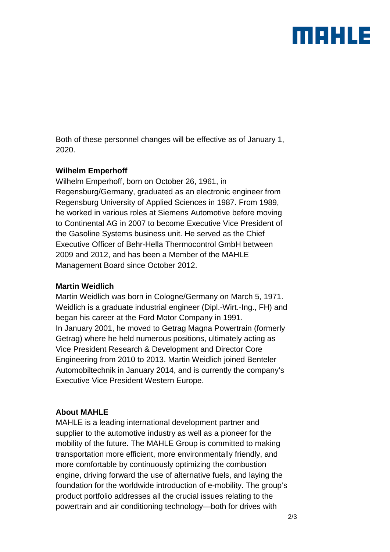## maxus

Both of these personnel changes will be effective as of January 1, 2020.

#### **Wilhelm Emperhoff**

Wilhelm Emperhoff, born on October 26, 1961, in Regensburg/Germany, graduated as an electronic engineer from Regensburg University of Applied Sciences in 1987. From 1989, he worked in various roles at Siemens Automotive before moving to Continental AG in 2007 to become Executive Vice President of the Gasoline Systems business unit. He served as the Chief Executive Officer of Behr-Hella Thermocontrol GmbH between 2009 and 2012, and has been a Member of the MAHLE Management Board since October 2012.

#### **Martin Weidlich**

Martin Weidlich was born in Cologne/Germany on March 5, 1971. Weidlich is a graduate industrial engineer (Dipl.-Wirt.-Ing., FH) and began his career at the Ford Motor Company in 1991. In January 2001, he moved to Getrag Magna Powertrain (formerly Getrag) where he held numerous positions, ultimately acting as Vice President Research & Development and Director Core Engineering from 2010 to 2013. Martin Weidlich joined Benteler Automobiltechnik in January 2014, and is currently the company's Executive Vice President Western Europe.

#### **About MAHLE**

MAHLE is a leading international development partner and supplier to the automotive industry as well as a pioneer for the mobility of the future. The MAHLE Group is committed to making transportation more efficient, more environmentally friendly, and more comfortable by continuously optimizing the combustion engine, driving forward the use of alternative fuels, and laying the foundation for the worldwide introduction of e-mobility. The group's product portfolio addresses all the crucial issues relating to the powertrain and air conditioning technology—both for drives with